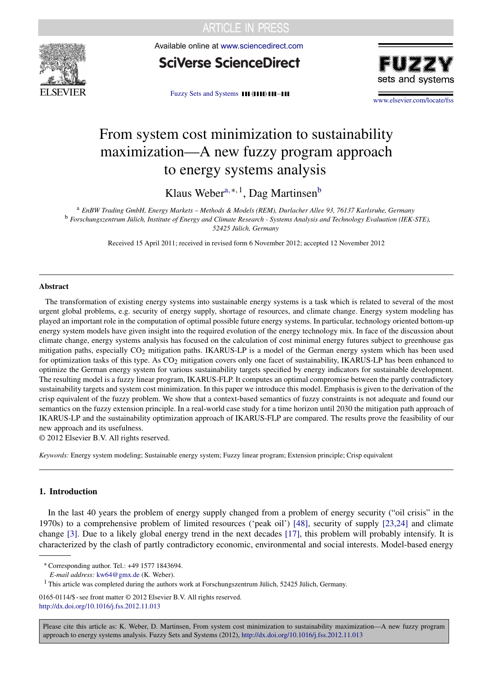

**ARTICLE IN PRESS** 

Available online at [www.sciencedirect.com](http://www.elsevier.com/locate/fss)



[Fuzzy Sets and Systems](http://dx.doi.org/10.1016/j.fss.2012.11.013) **III (IIII) III–III** WWW.elsevier.com/locate/fss



<span id="page-0-0"></span>

# From system cost minimization to sustainability maximization—A new fuzzy program approach to energy systems analysis

Klaus Webe[ra](#page-0-0)*,*∗*,*1, Dag Martinse[nb](#page-0-1)

<span id="page-0-1"></span><sup>a</sup> *EnBW Trading GmbH, Energy Markets – Methods & Models (REM), Durlacher Allee 93, 76137 Karlsruhe, Germany* <sup>b</sup> *Forschungszentrum Jülich, Institute of Energy and Climate Research - Systems Analysis and Technology Evaluation (IEK-STE), 52425 Jülich, Germany*

Received 15 April 2011; received in revised form 6 November 2012; accepted 12 November 2012

### **Abstract**

The transformation of existing energy systems into sustainable energy systems is a task which is related to several of the most urgent global problems, e.g. security of energy supply, shortage of resources, and climate change. Energy system modeling has played an important role in the computation of optimal possible future energy systems. In particular, technology oriented bottom-up energy system models have given insight into the required evolution of the energy technology mix. In face of the discussion about climate change, energy systems analysis has focused on the calculation of cost minimal energy futures subject to greenhouse gas mitigation paths, especially CO<sub>2</sub> mitigation paths. IKARUS-LP is a model of the German energy system which has been used for optimization tasks of this type. As CO<sub>2</sub> mitigation covers only one facet of sustainability, IKARUS-LP has been enhanced to optimize the German energy system for various sustainability targets specified by energy indicators for sustainable development. The resulting model is a fuzzy linear program, IKARUS-FLP. It computes an optimal compromise between the partly contradictory sustainability targets and system cost minimization. In this paper we introduce this model. Emphasis is given to the derivation of the crisp equivalent of the fuzzy problem. We show that a context-based semantics of fuzzy constraints is not adequate and found our semantics on the fuzzy extension principle. In a real-world case study for a time horizon until 2030 the mitigation path approach of IKARUS-LP and the sustainability optimization approach of IKARUS-FLP are compared. The results prove the feasibility of our new approach and its usefulness.

© 2012 Elsevier B.V. All rights reserved.

*Keywords:* Energy system modeling; Sustainable energy system; Fuzzy linear program; Extension principle; Crisp equivalent

### **1. Introduction**

In the last 40 years the problem of energy supply changed from a problem of energy security ("oil crisis" in the 1970s) to a comprehensive problem of limited resources ('peak oil') [\[48\],](#page--1-0) security of supply [\[23](#page--1-1)[,24\]](#page--1-2) and climate change [\[3\].](#page--1-3) Due to a likely global energy trend in the next decades [\[17\],](#page--1-4) this problem will probably intensify. It is characterized by the clash of partly contradictory economic, environmental and social interests. Model-based energy

Please cite this article as: K. Weber, D. Martinsen, From system cost minimization to sustainability maximization—A new fuzzy program approach to energy systems analysis. Fuzzy Sets and Systems (2012), <http://dx.doi.org/10.1016/j.fss.2012.11.013>

<sup>∗</sup> Corresponding author. Tel.: +49 1577 1843694.

*E-mail address:* [kw64@gmx.de](mailto:kw64@gmx.de) (K. Weber).

<sup>&</sup>lt;sup>1</sup> This article was completed during the authors work at Forschungszentrum Jülich, 52425 Jülich, Germany.

<sup>0165-0114/\$ -</sup> see front matter © 2012 Elsevier B.V. All rights reserved. <http://dx.doi.org/10.1016/j.fss.2012.11.013>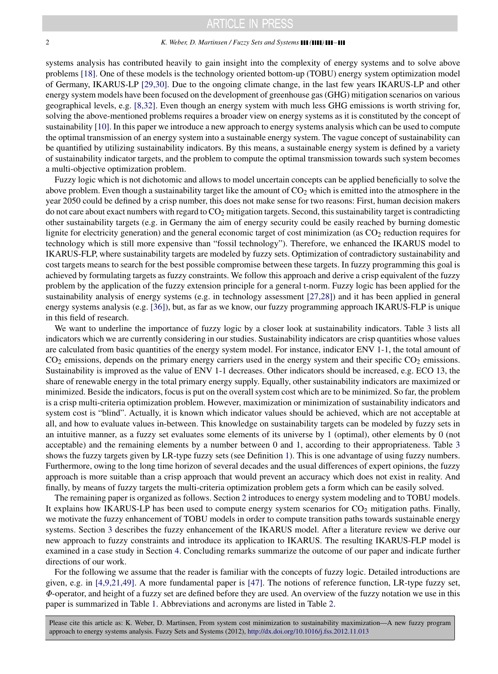## **ARTICLE IN PRESS**

#### 2 *K. Weber, D. Martinsen / Fuzzy Sets and Systems ( )* –

systems analysis has contributed heavily to gain insight into the complexity of energy systems and to solve above problems [\[18\].](#page--1-5) One of these models is the technology oriented bottom-up (TOBU) energy system optimization model of Germany, IKARUS-LP [\[29](#page--1-6)[,30\].](#page--1-7) Due to the ongoing climate change, in the last few years IKARUS-LP and other energy system models have been focused on the development of greenhouse gas (GHG) mitigation scenarios on various geographical levels, e.g. [\[8](#page--1-8)[,32\].](#page--1-9) Even though an energy system with much less GHG emissions is worth striving for, solving the above-mentioned problems requires a broader view on energy systems as it is constituted by the concept of sustainability [\[10\].](#page--1-10) In this paper we introduce a new approach to energy systems analysis which can be used to compute the optimal transmission of an energy system into a sustainable energy system. The vague concept of sustainability can be quantified by utilizing sustainability indicators. By this means, a sustainable energy system is defined by a variety of sustainability indicator targets, and the problem to compute the optimal transmission towards such system becomes a multi-objective optimization problem.

Fuzzy logic which is not dichotomic and allows to model uncertain concepts can be applied beneficially to solve the above problem. Even though a sustainability target like the amount of  $CO<sub>2</sub>$  which is emitted into the atmosphere in the year 2050 could be defined by a crisp number, this does not make sense for two reasons: First, human decision makers do not care about exact numbers with regard to  $CO<sub>2</sub>$  mitigation targets. Second, this sustainability target is contradicting other sustainability targets (e.g. in Germany the aim of energy security could be easily reached by burning domestic lignite for electricity generation) and the general economic target of cost minimization (as  $CO<sub>2</sub>$  reduction requires for technology which is still more expensive than "fossil technology"). Therefore, we enhanced the IKARUS model to IKARUS-FLP, where sustainability targets are modeled by fuzzy sets. Optimization of contradictory sustainability and cost targets means to search for the best possible compromise between these targets. In fuzzy programming this goal is achieved by formulating targets as fuzzy constraints. We follow this approach and derive a crisp equivalent of the fuzzy problem by the application of the fuzzy extension principle for a general t-norm. Fuzzy logic has been applied for the sustainability analysis of energy systems (e.g. in technology assessment [\[27](#page--1-11)[,28\]\)](#page--1-12) and it has been applied in general energy systems analysis (e.g. [\[36\]\)](#page--1-13), but, as far as we know, our fuzzy programming approach IKARUS-FLP is unique in this field of research.

We want to underline the importance of fuzzy logic by a closer look at sustainability indicators. Table [3](#page--1-14) lists all indicators which we are currently considering in our studies. Sustainability indicators are crisp quantities whose values are calculated from basic quantities of the energy system model. For instance, indicator ENV 1-1, the total amount of  $CO<sub>2</sub>$  emissions, depends on the primary energy carriers used in the energy system and their specific  $CO<sub>2</sub>$  emissions. Sustainability is improved as the value of ENV 1-1 decreases. Other indicators should be increased, e.g. ECO 13, the share of renewable energy in the total primary energy supply. Equally, other sustainability indicators are maximized or minimized. Beside the indicators, focus is put on the overall system cost which are to be minimized. So far, the problem is a crisp multi-criteria optimization problem. However, maximization or minimization of sustainability indicators and system cost is "blind". Actually, it is known which indicator values should be achieved, which are not acceptable at all, and how to evaluate values in-between. This knowledge on sustainability targets can be modeled by fuzzy sets in an intuitive manner, as a fuzzy set evaluates some elements of its universe by 1 (optimal), other elements by 0 (not acceptable) and the remaining elements by a number between 0 and 1, according to their appropriateness. Table [3](#page--1-14) shows the fuzzy targets given by LR-type fuzzy sets (see Definition [1\)](#page--1-15). This is one advantage of using fuzzy numbers. Furthermore, owing to the long time horizon of several decades and the usual differences of expert opinions, the fuzzy approach is more suitable than a crisp approach that would prevent an accuracy which does not exist in reality. And finally, by means of fuzzy targets the multi-criteria optimization problem gets a form which can be easily solved.

The remaining paper is organized as follows. Section [2](#page--1-16) introduces to energy system modeling and to TOBU models. It explains how IKARUS-LP has been used to compute energy system scenarios for CO<sub>2</sub> mitigation paths. Finally, we motivate the fuzzy enhancement of TOBU models in order to compute transition paths towards sustainable energy systems. Section [3](#page--1-17) describes the fuzzy enhancement of the IKARUS model. After a literature review we derive our new approach to fuzzy constraints and introduce its application to IKARUS. The resulting IKARUS-FLP model is examined in a case study in Section [4.](#page--1-18) Concluding remarks summarize the outcome of our paper and indicate further directions of our work.

For the following we assume that the reader is familiar with the concepts of fuzzy logic. Detailed introductions are given, e.g. in [\[4,](#page--1-19)[9,](#page--1-20)[21,](#page--1-21)[49\].](#page--1-22) A more fundamental paper is [\[47\].](#page--1-23) The notions of reference function, LR-type fuzzy set, --operator, and height of a fuzzy set are defined before they are used. An overview of the fuzzy notation we use in this paper is summarized in Table [1.](#page--1-24) Abbreviations and acronyms are listed in Table [2.](#page--1-25)

Please cite this article as: K. Weber, D. Martinsen, From system cost minimization to sustainability maximization—A new fuzzy program approach to energy systems analysis. Fuzzy Sets and Systems (2012), <http://dx.doi.org/10.1016/j.fss.2012.11.013>